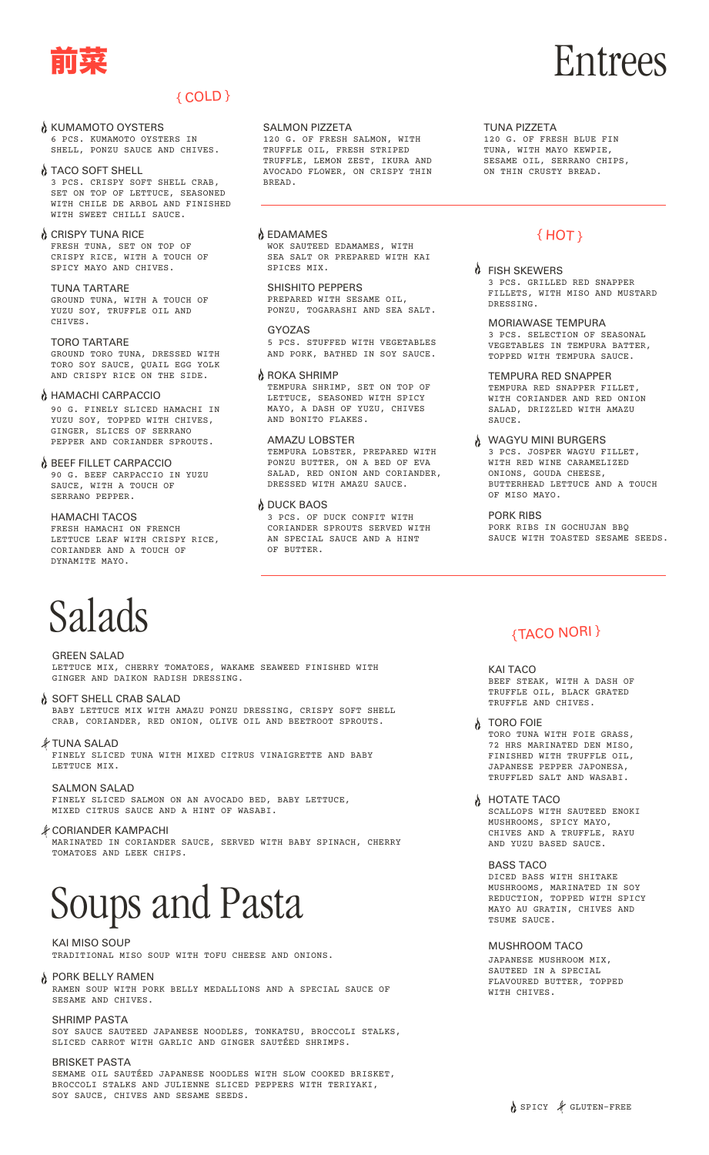

# { COLD }

#### **N** KUMAMOTO OYSTERS 6 PCS. KUMAMOTO OYSTERS IN SHELL, PONZU SAUCE AND CHIVES.

TACO SOFT SHELL 3 PCS. CRISPY SOFT SHELL CRAB, SET ON TOP OF LETTUCE, SEASONED WITH CHILE DE ARBOL AND FINISHED WITH SWEET CHILLI SAUCE.

#### **O** CRISPY TUNA RICE FRESH TUNA, SET ON TOP OF CRISPY RICE, WITH A TOUCH OF SPICY MAYO AND CHIVES.

TUNA TARTARE GROUND TUNA, WITH A TOUCH OF YUZU SOY, TRUFFLE OIL AND CHIVES.

#### TORO TARTARE

GROUND TORO TUNA, DRESSED WITH TORO SOY SAUCE, QUAIL EGG YOLK AND CRISPY RICE ON THE SIDE.

#### A HAMACHI CARPACCIO

90 G. FINELY SLICED HAMACHI IN YUZU SOY, TOPPED WITH CHIVES, GINGER, SLICES OF SERRANO PEPPER AND CORIANDER SPROUTS.

#### **BEEF FILLET CARPACCIO**

90 G. BEEF CARPACCIO IN YUZU SAUCE, WITH A TOUCH OF SERRANO PEPPER.

#### HAMACHI TACOS

FRESH HAMACHI ON FRENCH LETTUCE LEAF WITH CRISPY RICE, CORIANDER AND A TOUCH OF DYNAMITE MAYO.

# Salads

GREEN SALAD LETTUCE MIX, CHERRY TOMATOES, WAKAME SEAWEED FINISHED WITH GINGER AND DAIKON RADISH DRESSING.

- SOFT SHELL CRAB SALAD BABY LETTUCE MIX WITH AMAZU PONZU DRESSING, CRISPY SOFT SHELL CRAB, CORIANDER, RED ONION, OLIVE OIL AND BEETROOT SPROUTS.
- TUNA SALAD FINELY SLICED TUNA WITH MIXED CITRUS VINAIGRETTE AND BABY LETTUCE MIX.

SALMON SALAD FINELY SLICED SALMON ON AN AVOCADO BED, BABY LETTUCE, MIXED CITRUS SAUCE AND A HINT OF WASABI.

CORIANDER KAMPACHI MARINATED IN CORIANDER SAUCE, SERVED WITH BABY SPINACH, CHERRY TOMATOES AND LEEK CHIPS.

# Soups and Pasta

TRADITIONAL MISO SOUP WITH TOFU CHEESE AND ONIONS. KAI MISO SOUP

#### **PORK BELLY RAMEN**

RAMEN SOUP WITH PORK BELLY MEDALLIONS AND A SPECIAL SAUCE OF SESAME AND CHIVES.

SOY SAUCE SAUTEED JAPANESE NOODLES, TONKATSU, BROCCOLI STALKS, SLICED CARROT WITH GARLIC AND GINGER SAUTÉED SHRIMPS. SHRIMP PASTA

#### SEMAME OIL SAUTÉED JAPANESE NOODLES WITH SLOW COOKED BRISKET, BROCCOLI STALKS AND JULIENNE SLICED PEPPERS WITH TERIYAKI, SOY SAUCE, CHIVES AND SESAME SEEDS. BRISKET PASTA

#### SALMON PIZZETA

120 G. OF FRESH SALMON, WITH TRUFFLE OIL, FRESH STRIPED TRUFFLE, LEMON ZEST, IKURA AND AVOCADO FLOWER, ON CRISPY THIN BREAD.

EDAMAMES { HOT } WOK SAUTEED EDAMAMES, WITH SEA SALT OR PREPARED WITH KAI SPICES MIX.

SHISHITO PEPPERS PREPARED WITH SESAME OIL, PONZU, TOGARASHI AND SEA SALT.

GYOZAS 5 PCS. STUFFED WITH VEGETABLES AND PORK, BATHED IN SOY SAUCE.

#### **A** ROKA SHRIMP

TEMPURA SHRIMP, SET ON TOP OF LETTUCE, SEASONED WITH SPICY MAYO, A DASH OF YUZU, CHIVES AND BONITO FLAKES.

AMAZU LOBSTER

TEMPURA LOBSTER, PREPARED WITH PONZU BUTTER, ON A BED OF EVA SALAD, RED ONION AND CORIANDER, DRESSED WITH AMAZU SAUCE.

#### **A DUCK BAOS**

3 PCS. OF DUCK CONFIT WITH CORIANDER SPROUTS SERVED WITH AN SPECIAL SAUCE AND A HINT OF BUTTER.

#### TUNA PIZZETA

120 G. OF FRESH BLUE FIN TUNA, WITH MAYO KEWPIE, SESAME OIL, SERRANO CHIPS, ON THIN CRUSTY BREAD.

**A** FISH SKEWERS 3 PCS. GRILLED RED SNAPPER FILLETS, WITH MISO AND MUSTARD DRESSING.

MORIAWASE TEMPURA 3 PCS. SELECTION OF SEASONAL VEGETABLES IN TEMPURA BATTER, TOPPED WITH TEMPURA SAUCE.

TEMPURA RED SNAPPER TEMPURA RED SNAPPER FILLET, WITH CORIANDER AND RED ONION SALAD, DRIZZLED WITH AMAZU SAUCE.

WAGYU MINI BURGERS 3 PCS. JOSPER WAGYU FILLET, WITH RED WINE CARAMELIZED ONIONS, GOUDA CHEESE, BUTTERHEAD LETTUCE AND A TOUCH OF MISO MAYO.

PORK RIBS PORK RIBS IN GOCHUJAN BBQ SAUCE WITH TOASTED SESAME SEEDS.

# {TACO NORI }

KAI TACO BEEF STEAK, WITH A DASH OF TRUFFLE OIL, BLACK GRATED TRUFFLE AND CHIVES.

**A** TORO FOIE TORO TUNA WITH FOIE GRASS, 72 HRS MARINATED DEN MISO, FINISHED WITH TRUFFLE OIL, JAPANESE PEPPER JAPONESA, TRUFFLED SALT AND WASABI.

**A** HOTATE TACO SCALLOPS WITH SAUTEED ENOKI MUSHROOMS, SPICY MAYO, CHIVES AND A TRUFFLE, RAYU AND YUZU BASED SAUCE.

BASS TACO DICED BASS WITH SHITAKE MUSHROOMS, MARINATED IN SOY REDUCTION, TOPPED WITH SPICY MAYO AU GRATIN, CHIVES AND TSUME SAUCE.

MUSHROOM TACO JAPANESE MUSHROOM MIX, SAUTEED IN A SPECIAL FLAVOURED BUTTER, TOPPED WITH CHIVES.

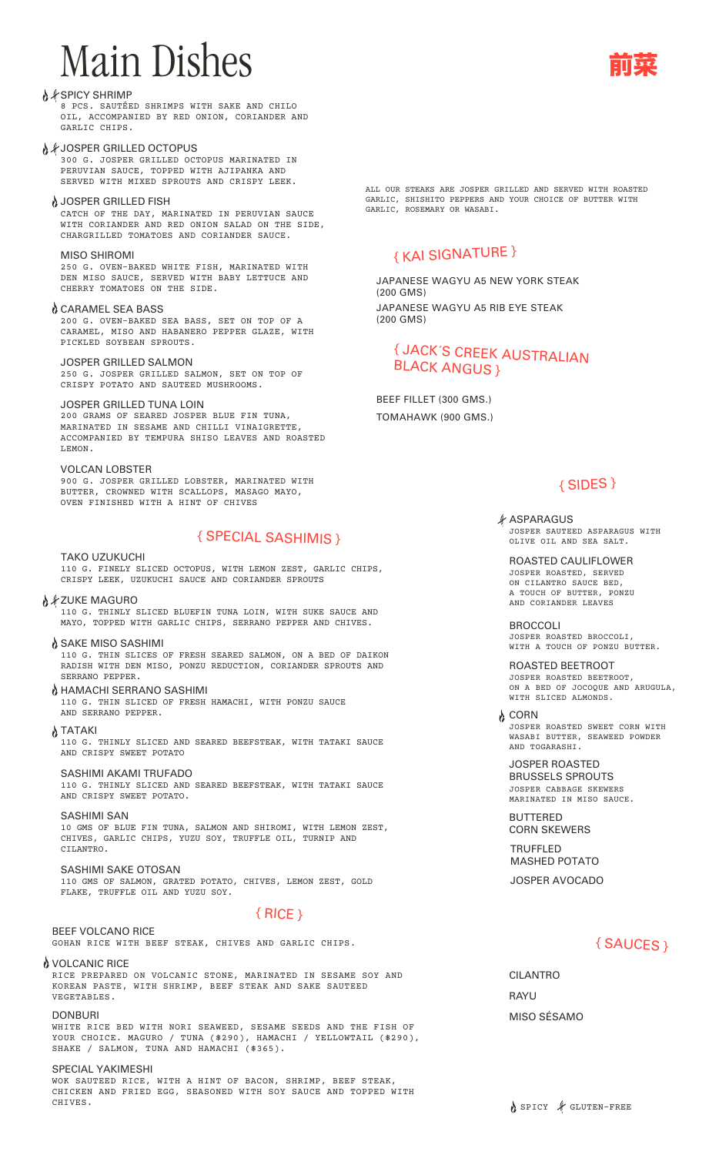# Main Dishes

#### A *<i>≸* SPICY SHRIMP

8 PCS. SAUTÉED SHRIMPS WITH SAKE AND CHILO OIL, ACCOMPANIED BY RED ONION, CORIANDER AND GARLIC CHIPS.

#### A *≸ JOSPER GRILLED OCTOPUS*

300 G. JOSPER GRILLED OCTOPUS MARINATED IN PERUVIAN SAUCE, TOPPED WITH AJIPANKA AND SERVED WITH MIXED SPROUTS AND CRISPY LEEK.

#### A JOSPER GRILLED FISH

CATCH OF THE DAY, MARINATED IN PERUVIAN SAUCE WITH CORIANDER AND RED ONION SALAD ON THE SIDE, CHARGRILLED TOMATOES AND CORIANDER SAUCE.

#### MISO SHIROMI

250 G. OVEN-BAKED WHITE FISH, MARINATED WITH DEN MISO SAUCE, SERVED WITH BABY LETTUCE AND CHERRY TOMATOES ON THE SIDE.

#### CARAMEL SEA BASS

200 G. OVEN-BAKED SEA BASS, SET ON TOP OF A CARAMEL, MISO AND HABANERO PEPPER GLAZE, WITH PICKLED SOYBEAN SPROUTS.

#### JOSPER GRILLED SALMON

250 G. JOSPER GRILLED SALMON, SET ON TOP OF CRISPY POTATO AND SAUTEED MUSHROOMS.

#### JOSPER GRILLED TUNA LOIN

200 GRAMS OF SEARED JOSPER BLUE FIN TUNA, MARINATED IN SESAME AND CHILLI VINAIGRETTE, ACCOMPANIED BY TEMPURA SHISO LEAVES AND ROASTED LEMON.

VOLCAN LOBSTER 900 G. JOSPER GRILLED LOBSTER, MARINATED WITH BUTTER, CROWNED WITH SCALLOPS, MASAGO MAYO, OVEN FINISHED WITH A HINT OF CHIVES

# { SPECIAL SASHIMIS }

TAKO UZUKUCHI 110 G. FINELY SLICED OCTOPUS, WITH LEMON ZEST, GARLIC CHIPS, CRISPY LEEK, UZUKUCHI SAUCE AND CORIANDER SPROUTS

*እ ¥* **ZUKE MAGURO** 110 G. THINLY SLICED BLUEFIN TUNA LOIN, WITH SUKE SAUCE AND MAYO, TOPPED WITH GARLIC CHIPS, SERRANO PEPPER AND CHIVES.

SAKE MISO SASHIMI 110 G. THIN SLICES OF FRESH SEARED SALMON, ON A BED OF DAIKON RADISH WITH DEN MISO, PONZU REDUCTION, CORIANDER SPROUTS AND SERRANO PEPPER.

HAMACHI SERRANO SASHIMI 110 G. THIN SLICED OF FRESH HAMACHI, WITH PONZU SAUCE AND SERRANO PEPPER.

λ TATAKI 110 G. THINLY SLICED AND SEARED BEEFSTEAK, WITH TATAKI SAUCE AND CRISPY SWEET POTATO

SASHIMI AKAMI TRUFADO 110 G. THINLY SLICED AND SEARED BEEFSTEAK, WITH TATAKI SAUCE AND CRISPY SWEET POTATO.

SASHIMI SAN 10 GMS OF BLUE FIN TUNA, SALMON AND SHIROMI, WITH LEMON ZEST, CHIVES, GARLIC CHIPS, YUZU SOY, TRUFFLE OIL, TURNIP AND CILANTRO.

#### SASHIMI SAKE OTOSAN 110 GMS OF SALMON, GRATED POTATO, CHIVES, LEMON ZEST, GOLD FLAKE, TRUFFLE OIL AND YUZU SOY.

# $\{$  RICE  $\}$

GOHAN RICE WITH BEEF STEAK, CHIVES AND GARLIC CHIPS. BEEF VOLCANO RICE

#### **A** VOLCANIC RICE

RICE PREPARED ON VOLCANIC STONE, MARINATED IN SESAME SOY AND KOREAN PASTE, WITH SHRIMP, BEEF STEAK AND SAKE SAUTEED VEGETABLES.

**DONBURI** 

WHITE RICE BED WITH NORI SEAWEED, SESAME SEEDS AND THE FISH OF YOUR CHOICE. MAGURO / TUNA (\$290), HAMACHI / YELLOWTAIL (\$290), SHAKE / SALMON, TUNA AND HAMACHI (\$365).

#### SPECIAL YAKIMESHI

WOK SAUTEED RICE, WITH A HINT OF BACON, SHRIMP, BEEF STEAK, CHICKEN AND FRIED EGG, SEASONED WITH SOY SAUCE AND TOPPED WITH CHIVES.

ALL OUR STEAKS ARE JOSPER GRILLED AND SERVED WITH ROASTED GARLIC, SHISHITO PEPPERS AND YOUR CHOICE OF BUTTER WITH GARLIC, ROSEMARY OR WASABI.

# { KAI SIGNATURE }

JAPANESE WAGYU A5 NEW YORK STEAK (200 GMS) JAPANESE WAGYU A5 RIB EYE STEAK (200 GMS)

# { JACK´S CREEK AUSTRALIAN BLACK ANGUS }

BEEF FILLET (300 GMS.) TOMAHAWK (900 GMS.)

# { SIDES }

*∦ ASPARAGUS* JOSPER SAUTEED ASPARAGUS WITH OLIVE OIL AND SEA SALT.

ROASTED CAULIFLOWER JOSPER ROASTED, SERVED ON CILANTRO SAUCE BED,<br>A TOUCH OF BUTTER, PONZU A TOUCH OF BUTTER, AND CORIANDER LEAVES

BROCCOLI JOSPER ROASTED BROCCOLI, WITH A TOUCH OF PONZU BUTTER.

ROASTED BEETROOT JOSPER ROASTED BEETROOT, ON A BED OF JOCOQUE AND ARUGULA, WITH SLICED ALMONDS.

**b** CORN JOSPER ROASTED SWEET CORN WITH WASABI BUTTER, SEAWEED POWDER AND TOGARASHI.

JOSPER ROASTED BRUSSELS SPROUTS JOSPER CABBAGE SKEWERS MARINATED IN MISO SAUCE.

BUTTERED CORN SKEWERS

TRUFFLED MASHED POTATO JOSPER AVOCADO

# { SAUCES }

**RAYU** CILANTRO MISO SÉSAMO

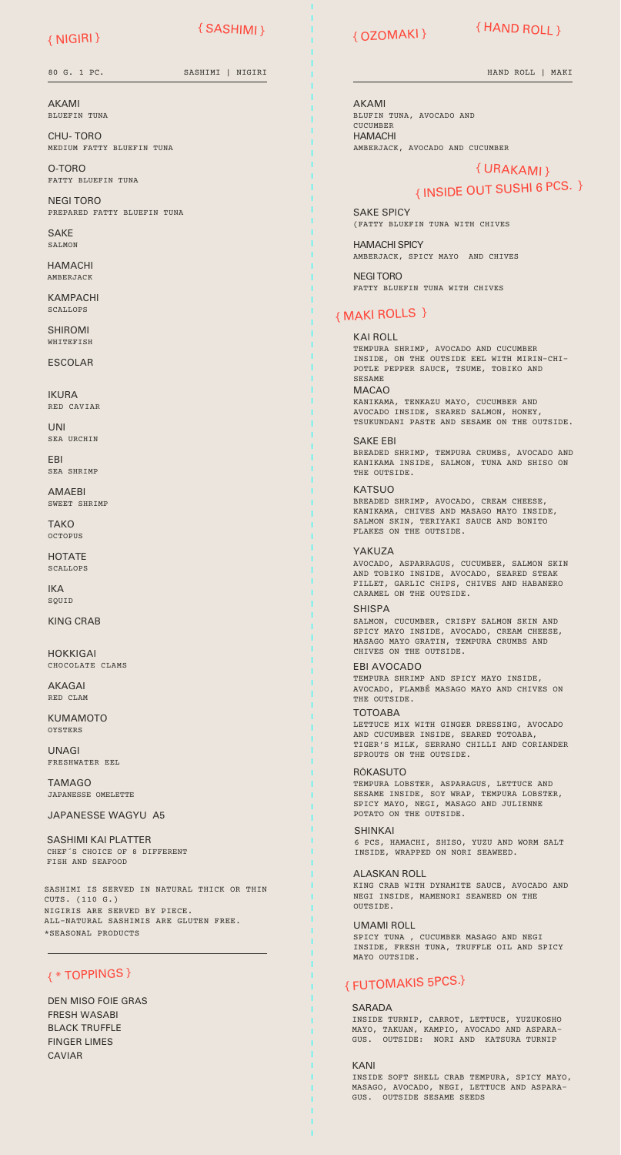### { NIGIRI }

{ SASHIMI }

80 G. 1 PC. SASHIMI | NIGIRI

AKAMI BLUEFIN TUNA

CHU- TORO MEDIUM FATTY BLUEFIN TUNA

O-TORO FATTY BLUEFIN TUNA

NEGI TORO PREPARED FATTY BLUEFIN TUNA

**SAKF**  $SATMON$ 

HAMACHI AMBERJACK

KAMPACHI SCALLOPS

SHIROMI WHITEFISH

ESCOLAR

IKURA RED CAVIAR

UNI SEA URCHIN

EBI SEA SHRIMP

AMAEBI SWEET SHRIMP

**TAKO** OCTOPUS

**HOTATE** SCALLOPS

IKA SOUID

KING CRAB

HOKKIGAI CHOCOLATE CLAMS

AKAGAI RED CLAM

KUMAMOTO OYSTERS

UNAGI FRESHWATER EEL

TAMAGO JAPANESSE OMELETTE

JAPANESSE WAGYU A5

SASHIMI KAI PLATTER CHEF´S CHOICE OF 8 DIFFERENT FISH AND SEAFOOD

SASHIMI IS SERVED IN NATURAL THICK OR THIN CUTS. (110 G.) NIGIRIS ARE SERVED BY PIECE. ALL-NATURAL SASHIMIS ARE GLUTEN FREE. \*SEASONAL PRODUCTS

## { \* TOPPINGS }

DEN MISO FOIE GRAS FRESH WASABI BLACK TRUFFLE FINGER LIMES CAVIAR

{ OZOMAKI }

# { HAND ROLL }

HAND ROLL | MAKI

AKAMI HAMACHI BLUFIN TUNA, AVOCADO AND **CUCUMBER** AMBERJACK, AVOCADO AND CUCUMBER

# { URAKAMI } { INSIDE OUT SUSHI 6 PCS. }

SAKE SPICY (FATTY BLUEFIN TUNA WITH CHIVES

HAMACHI SPICY AMBERJACK, SPICY MAYO AND CHIVES

NEGI TORO FATTY BLUEFIN TUNA WITH CHIVES

## { MAKI ROLLS }

MACAO KANIKAMA, TENKAZU MAYO, CUCUMBER AND KAI ROLL TEMPURA SHRIMP, AVOCADO AND CUCUMBER INSIDE, ON THE OUTSIDE EEL WITH MIRIN-CHI-POTLE PEPPER SAUCE, TSUME, TOBIKO AND SESAME

AVOCADO INSIDE, SEARED SALMON, HONEY, TSUKUNDANI PASTE AND SESAME ON THE OUTSIDE.

SAKE EBI BREADED SHRIMP, TEMPURA CRUMBS, AVOCADO AND KANIKAMA INSIDE, SALMON, TUNA AND SHISO ON THE OUTSIDE.

**KATSUO** BREADED SHRIMP, AVOCADO, CREAM CHEESE, KANIKAMA, CHIVES AND MASAGO MAYO INSIDE, SALMON SKIN, TERIYAKI SAUCE AND BONITO FLAKES ON THE OUTSIDE.

YAKU<sub>7</sub>A

AVOCADO, ASPARRAGUS, CUCUMBER, SALMON SKIN AND TOBIKO INSIDE, AVOCADO, SEARED STEAK FILLET, GARLIC CHIPS, CHIVES AND HABANERO CARAMEL ON THE OUTSIDE.

**SHISPA** SALMON, CUCUMBER, CRISPY SALMON SKIN AND SPICY MAYO INSIDE, AVOCADO, CREAM CHEESE, MASAGO MAYO GRATIN, TEMPURA CRUMBS AND CHIVES ON THE OUTSIDE.

EBI AVOCADO TEMPURA SHRIMP AND SPICY MAYO INSIDE, AVOCADO, FLAMBÉ MASAGO MAYO AND CHIVES ON THE OUTSIDE. TOTOABA

LETTUCE MIX WITH GINGER DRESSING, AVOCADO AND CUCUMBER INSIDE, SEARED TOTOABA, TIGER'S MILK, SERRANO CHILLI AND CORIANDER SPROUTS ON THE OUTSIDE.

RŌKASUTO

TEMPURA LOBSTER, ASPARAGUS, LETTUCE AND SESAME INSIDE, SOY WRAP, TEMPURA LOBSTER, SPICY MAYO, NEGI, MASAGO AND JULIENNE POTATO ON THE OUTSIDE.

SHINKAI 6 PCS, HAMACHI, SHISO, YUZU AND WORM SALT INSIDE, WRAPPED ON NORI SEAWEED.

ALASKAN ROLL KING CRAB WITH DYNAMITE SAUCE, AVOCADO AND NEGI INSIDE, MAMENORI SEAWEED ON THE OUTSIDE.

UMAMI ROLL SPICY TUNA , CUCUMBER MASAGO AND NEGI INSIDE, FRESH TUNA, TRUFFLE OIL AND SPICY MAYO OUTSIDE.

# { FUTOMAKIS 5PCS.}

#### SARADA

INSIDE TURNIP, CARROT, LETTUCE, YUZUKOSHO MAYO, TAKUAN, KAMPIO, AVOCADO AND ASPARA-GUS. OUTSIDE: NORI AND KATSURA TURNIP

KANI INSIDE SOFT SHELL CRAB TEMPURA, SPICY MAYO, MASAGO, AVOCADO, NEGI, LETTUCE AND ASPARA-GUS. OUTSIDE SESAME SEEDS